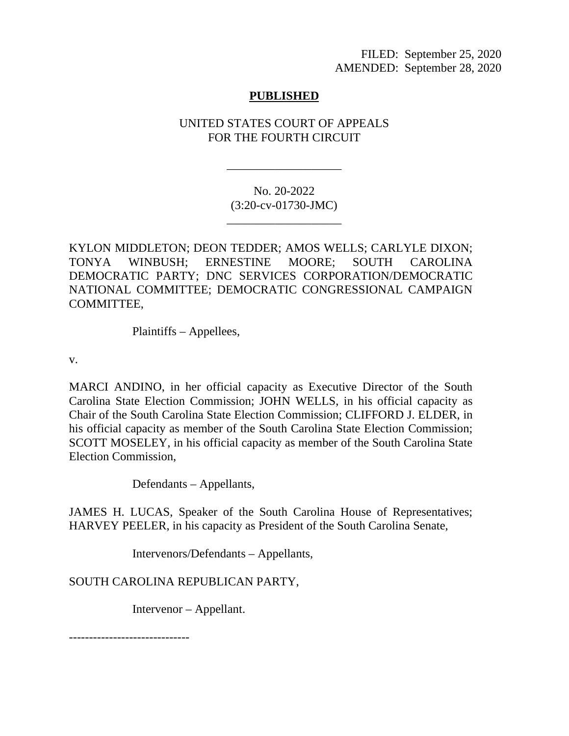FILED: September 25, 2020 AMENDED: September 28, 2020

## **PUBLISHED**

## UNITED STATES COURT OF APPEALS FOR THE FOURTH CIRCUIT

\_\_\_\_\_\_\_\_\_\_\_\_\_\_\_\_\_\_\_

No. 20-2022 (3:20-cv-01730-JMC)

\_\_\_\_\_\_\_\_\_\_\_\_\_\_\_\_\_\_\_

KYLON MIDDLETON; DEON TEDDER; AMOS WELLS; CARLYLE DIXON; TONYA WINBUSH; ERNESTINE MOORE; SOUTH CAROLINA DEMOCRATIC PARTY; DNC SERVICES CORPORATION/DEMOCRATIC NATIONAL COMMITTEE; DEMOCRATIC CONGRESSIONAL CAMPAIGN COMMITTEE,

Plaintiffs – Appellees,

v.

MARCI ANDINO, in her official capacity as Executive Director of the South Carolina State Election Commission; JOHN WELLS, in his official capacity as Chair of the South Carolina State Election Commission; CLIFFORD J. ELDER, in his official capacity as member of the South Carolina State Election Commission; SCOTT MOSELEY, in his official capacity as member of the South Carolina State Election Commission,

Defendants – Appellants,

JAMES H. LUCAS, Speaker of the South Carolina House of Representatives; HARVEY PEELER, in his capacity as President of the South Carolina Senate,

Intervenors/Defendants – Appellants,

SOUTH CAROLINA REPUBLICAN PARTY,

Intervenor – Appellant.

------------------------------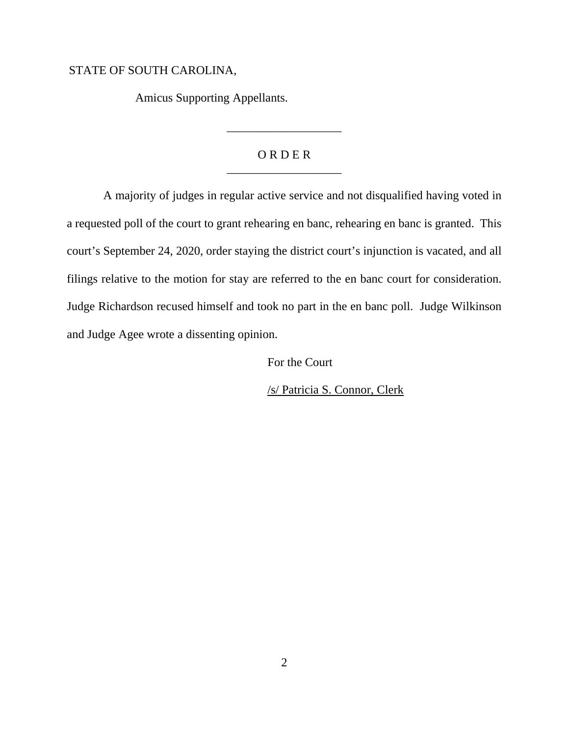## STATE OF SOUTH CAROLINA,

Amicus Supporting Appellants.

## O R D E R \_\_\_\_\_\_\_\_\_\_\_\_\_\_\_\_\_\_\_

\_\_\_\_\_\_\_\_\_\_\_\_\_\_\_\_\_\_\_

A majority of judges in regular active service and not disqualified having voted in a requested poll of the court to grant rehearing en banc, rehearing en banc is granted. This court's September 24, 2020, order staying the district court's injunction is vacated, and all filings relative to the motion for stay are referred to the en banc court for consideration. Judge Richardson recused himself and took no part in the en banc poll. Judge Wilkinson and Judge Agee wrote a dissenting opinion.

For the Court

/s/ Patricia S. Connor, Clerk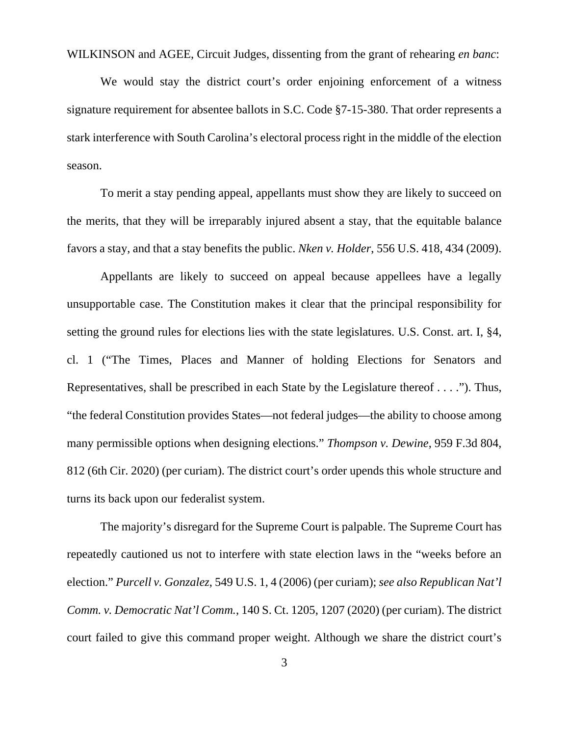WILKINSON and AGEE, Circuit Judges, dissenting from the grant of rehearing *en banc*:

We would stay the district court's order enjoining enforcement of a witness signature requirement for absentee ballots in S.C. Code §7-15-380. That order represents a stark interference with South Carolina's electoral process right in the middle of the election season.

To merit a stay pending appeal, appellants must show they are likely to succeed on the merits, that they will be irreparably injured absent a stay, that the equitable balance favors a stay, and that a stay benefits the public. *Nken v. Holder*, 556 U.S. 418, 434 (2009).

Appellants are likely to succeed on appeal because appellees have a legally unsupportable case. The Constitution makes it clear that the principal responsibility for setting the ground rules for elections lies with the state legislatures. U.S. Const. art. I, §4, cl. 1 ("The Times, Places and Manner of holding Elections for Senators and Representatives, shall be prescribed in each State by the Legislature thereof . . . ."). Thus, "the federal Constitution provides States—not federal judges—the ability to choose among many permissible options when designing elections." *Thompson v. Dewine*, 959 F.3d 804, 812 (6th Cir. 2020) (per curiam). The district court's order upends this whole structure and turns its back upon our federalist system.

The majority's disregard for the Supreme Court is palpable. The Supreme Court has repeatedly cautioned us not to interfere with state election laws in the "weeks before an election." *Purcell v. Gonzalez*, 549 U.S. 1, 4 (2006) (per curiam); *see also Republican Nat'l Comm. v. Democratic Nat'l Comm.*, 140 S. Ct. 1205, 1207 (2020) (per curiam). The district court failed to give this command proper weight. Although we share the district court's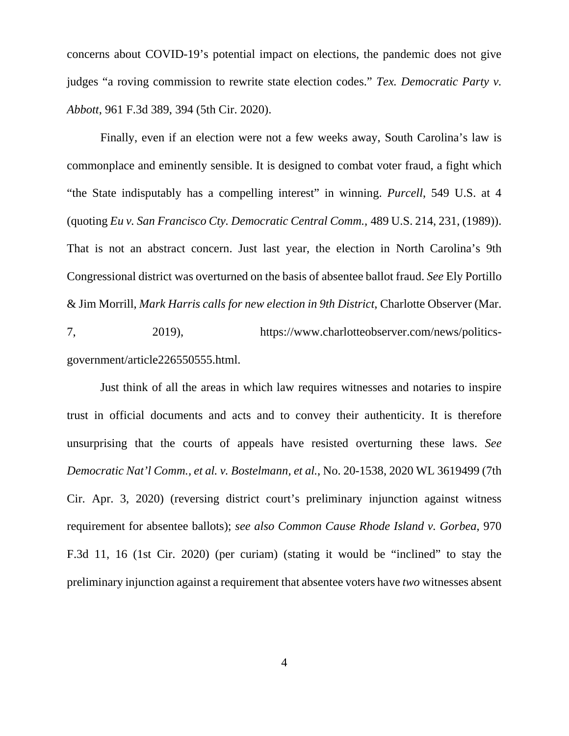concerns about COVID-19's potential impact on elections, the pandemic does not give judges "a roving commission to rewrite state election codes." *Tex. Democratic Party v. Abbott*, 961 F.3d 389, 394 (5th Cir. 2020).

Finally, even if an election were not a few weeks away, South Carolina's law is commonplace and eminently sensible. It is designed to combat voter fraud, a fight which "the State indisputably has a compelling interest" in winning. *Purcell*, 549 U.S. at 4 (quoting *Eu v. San Francisco Cty. Democratic Central Comm.,* 489 U.S. 214, 231, (1989)). That is not an abstract concern. Just last year, the election in North Carolina's 9th Congressional district was overturned on the basis of absentee ballot fraud. *See* Ely Portillo & Jim Morrill, *Mark Harris calls for new election in 9th District*, Charlotte Observer (Mar.

7, 2019), https://www.charlotteobserver.com/news/politicsgovernment/article226550555.html.

Just think of all the areas in which law requires witnesses and notaries to inspire trust in official documents and acts and to convey their authenticity. It is therefore unsurprising that the courts of appeals have resisted overturning these laws. *See Democratic Nat'l Comm., et al. v. Bostelmann, et al.*, No. 20-1538, 2020 WL 3619499 (7th Cir. Apr. 3, 2020) (reversing district court's preliminary injunction against witness requirement for absentee ballots); *see also Common Cause Rhode Island v. Gorbea*, 970 F.3d 11, 16 (1st Cir. 2020) (per curiam) (stating it would be "inclined" to stay the preliminary injunction against a requirement that absentee voters have *two* witnesses absent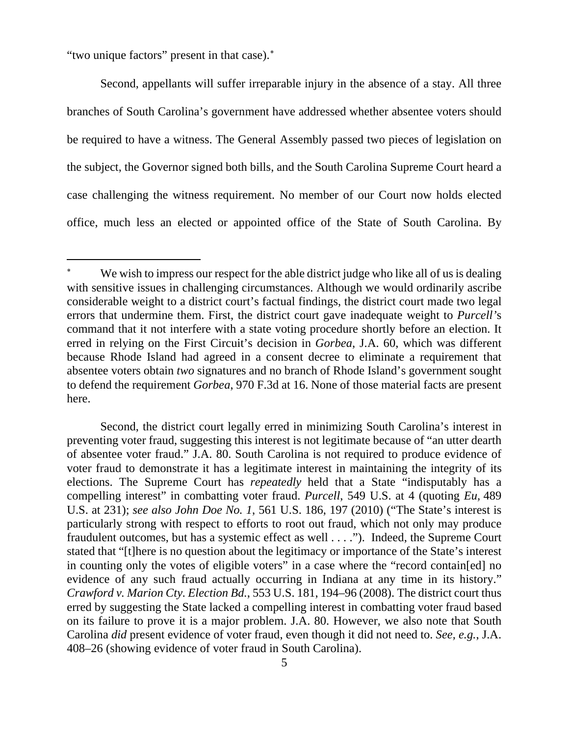"two unique factors" present in that case).[∗](#page-4-0)

Second, appellants will suffer irreparable injury in the absence of a stay. All three branches of South Carolina's government have addressed whether absentee voters should be required to have a witness. The General Assembly passed two pieces of legislation on the subject, the Governor signed both bills, and the South Carolina Supreme Court heard a case challenging the witness requirement. No member of our Court now holds elected office, much less an elected or appointed office of the State of South Carolina. By

<span id="page-4-0"></span>We wish to impress our respect for the able district judge who like all of us is dealing with sensitive issues in challenging circumstances. Although we would ordinarily ascribe considerable weight to a district court's factual findings, the district court made two legal errors that undermine them. First, the district court gave inadequate weight to *Purcell'*s command that it not interfere with a state voting procedure shortly before an election. It erred in relying on the First Circuit's decision in *Gorbea*, J.A. 60, which was different because Rhode Island had agreed in a consent decree to eliminate a requirement that absentee voters obtain *two* signatures and no branch of Rhode Island's government sought to defend the requirement *Gorbea*, 970 F.3d at 16. None of those material facts are present here.

Second, the district court legally erred in minimizing South Carolina's interest in preventing voter fraud, suggesting this interest is not legitimate because of "an utter dearth of absentee voter fraud." J.A. 80. South Carolina is not required to produce evidence of voter fraud to demonstrate it has a legitimate interest in maintaining the integrity of its elections. The Supreme Court has *repeatedly* held that a State "indisputably has a compelling interest" in combatting voter fraud. *Purcell*, 549 U.S. at 4 (quoting *Eu,* 489 U.S. at 231); *see also John Doe No. 1*, 561 U.S. 186, 197 (2010) ("The State's interest is particularly strong with respect to efforts to root out fraud, which not only may produce fraudulent outcomes, but has a systemic effect as well . . . ."). Indeed, the Supreme Court stated that "[t]here is no question about the legitimacy or importance of the State's interest in counting only the votes of eligible voters" in a case where the "record contain[ed] no evidence of any such fraud actually occurring in Indiana at any time in its history." *Crawford v. Marion Cty. Election Bd.*, 553 U.S. 181, 194–96 (2008). The district court thus erred by suggesting the State lacked a compelling interest in combatting voter fraud based on its failure to prove it is a major problem. J.A. 80. However, we also note that South Carolina *did* present evidence of voter fraud, even though it did not need to. *See, e.g.*, J.A. 408–26 (showing evidence of voter fraud in South Carolina).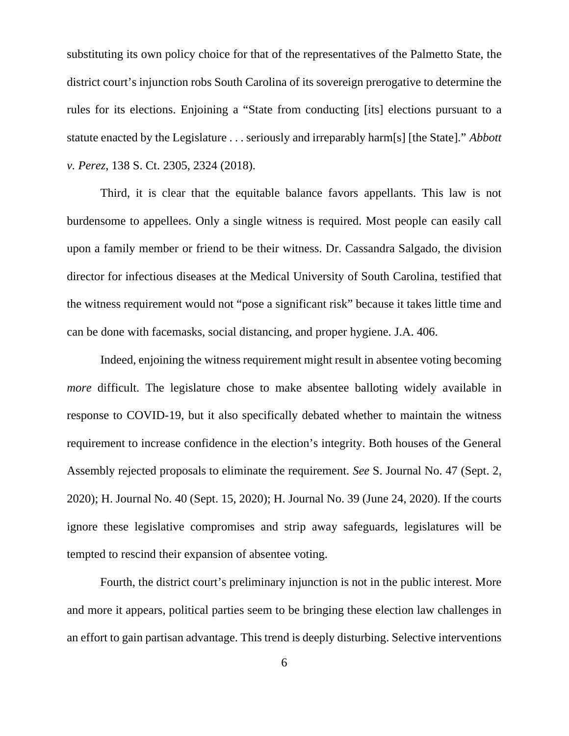substituting its own policy choice for that of the representatives of the Palmetto State, the district court's injunction robs South Carolina of its sovereign prerogative to determine the rules for its elections. Enjoining a "State from conducting [its] elections pursuant to a statute enacted by the Legislature . . . seriously and irreparably harm[s] [the State]." *Abbott v. Perez*, 138 S. Ct. 2305, 2324 (2018).

Third, it is clear that the equitable balance favors appellants. This law is not burdensome to appellees. Only a single witness is required. Most people can easily call upon a family member or friend to be their witness. Dr. Cassandra Salgado, the division director for infectious diseases at the Medical University of South Carolina, testified that the witness requirement would not "pose a significant risk" because it takes little time and can be done with facemasks, social distancing, and proper hygiene. J.A. 406.

Indeed, enjoining the witness requirement might result in absentee voting becoming *more* difficult. The legislature chose to make absentee balloting widely available in response to COVID-19, but it also specifically debated whether to maintain the witness requirement to increase confidence in the election's integrity. Both houses of the General Assembly rejected proposals to eliminate the requirement. *See* S. Journal No. 47 (Sept. 2, 2020); H. Journal No. 40 (Sept. 15, 2020); H. Journal No. 39 (June 24, 2020). If the courts ignore these legislative compromises and strip away safeguards, legislatures will be tempted to rescind their expansion of absentee voting.

Fourth, the district court's preliminary injunction is not in the public interest. More and more it appears, political parties seem to be bringing these election law challenges in an effort to gain partisan advantage. This trend is deeply disturbing. Selective interventions